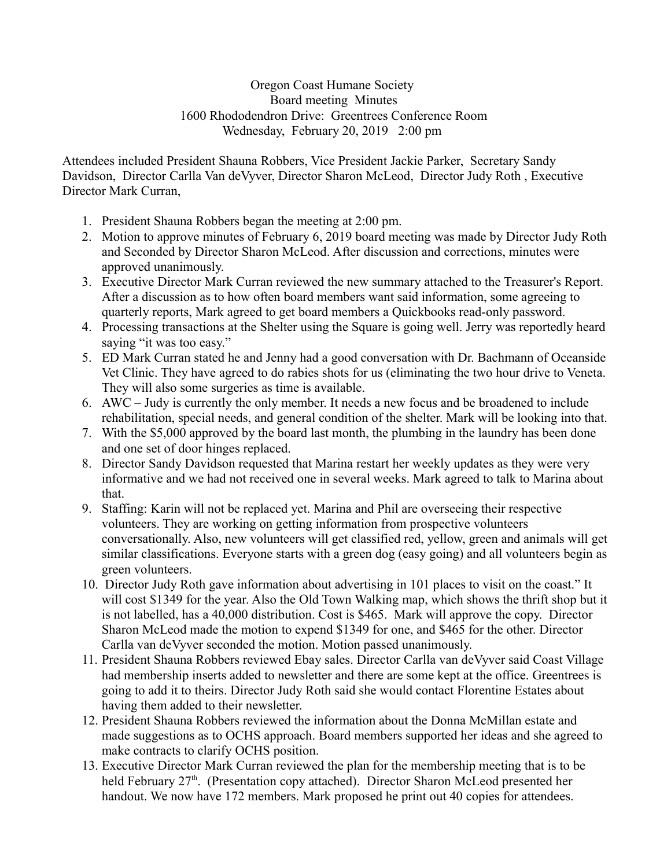Oregon Coast Humane Society Board meeting Minutes 1600 Rhododendron Drive: Greentrees Conference Room Wednesday, February 20, 2019 2:00 pm

Attendees included President Shauna Robbers, Vice President Jackie Parker, Secretary Sandy Davidson, Director Carlla Van deVyver, Director Sharon McLeod, Director Judy Roth , Executive Director Mark Curran,

- 1. President Shauna Robbers began the meeting at 2:00 pm.
- 2. Motion to approve minutes of February 6, 2019 board meeting was made by Director Judy Roth and Seconded by Director Sharon McLeod. After discussion and corrections, minutes were approved unanimously.
- 3. Executive Director Mark Curran reviewed the new summary attached to the Treasurer's Report. After a discussion as to how often board members want said information, some agreeing to quarterly reports, Mark agreed to get board members a Quickbooks read-only password.
- 4. Processing transactions at the Shelter using the Square is going well. Jerry was reportedly heard saying "it was too easy."
- 5. ED Mark Curran stated he and Jenny had a good conversation with Dr. Bachmann of Oceanside Vet Clinic. They have agreed to do rabies shots for us (eliminating the two hour drive to Veneta. They will also some surgeries as time is available.
- 6. AWC Judy is currently the only member. It needs a new focus and be broadened to include rehabilitation, special needs, and general condition of the shelter. Mark will be looking into that.
- 7. With the \$5,000 approved by the board last month, the plumbing in the laundry has been done and one set of door hinges replaced.
- 8. Director Sandy Davidson requested that Marina restart her weekly updates as they were very informative and we had not received one in several weeks. Mark agreed to talk to Marina about that.
- 9. Staffing: Karin will not be replaced yet. Marina and Phil are overseeing their respective volunteers. They are working on getting information from prospective volunteers conversationally. Also, new volunteers will get classified red, yellow, green and animals will get similar classifications. Everyone starts with a green dog (easy going) and all volunteers begin as green volunteers.
- 10. Director Judy Roth gave information about advertising in 101 places to visit on the coast." It will cost \$1349 for the year. Also the Old Town Walking map, which shows the thrift shop but it is not labelled, has a 40,000 distribution. Cost is \$465. Mark will approve the copy. Director Sharon McLeod made the motion to expend \$1349 for one, and \$465 for the other. Director Carlla van deVyver seconded the motion. Motion passed unanimously.
- 11. President Shauna Robbers reviewed Ebay sales. Director Carlla van deVyver said Coast Village had membership inserts added to newsletter and there are some kept at the office. Greentrees is going to add it to theirs. Director Judy Roth said she would contact Florentine Estates about having them added to their newsletter.
- 12. President Shauna Robbers reviewed the information about the Donna McMillan estate and made suggestions as to OCHS approach. Board members supported her ideas and she agreed to make contracts to clarify OCHS position.
- 13. Executive Director Mark Curran reviewed the plan for the membership meeting that is to be held February 27<sup>th</sup>. (Presentation copy attached). Director Sharon McLeod presented her handout. We now have 172 members. Mark proposed he print out 40 copies for attendees.